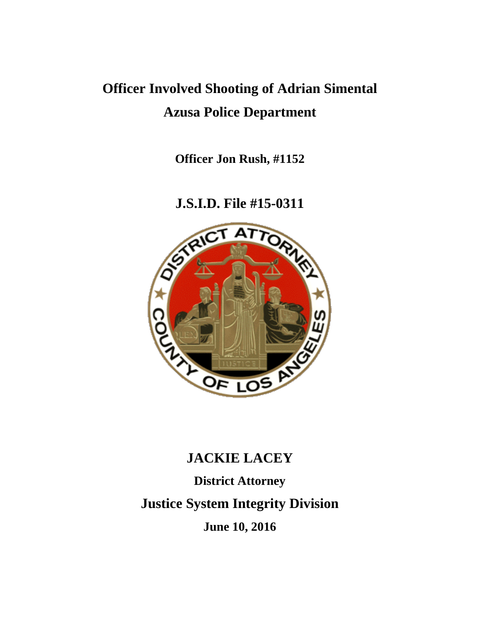# **Officer Involved Shooting of Adrian Simental Azusa Police Department**

**Officer Jon Rush, #1152**

**J.S.I.D. File #15-0311**



# **JACKIE LACEY**

**District Attorney Justice System Integrity Division June 10, 2016**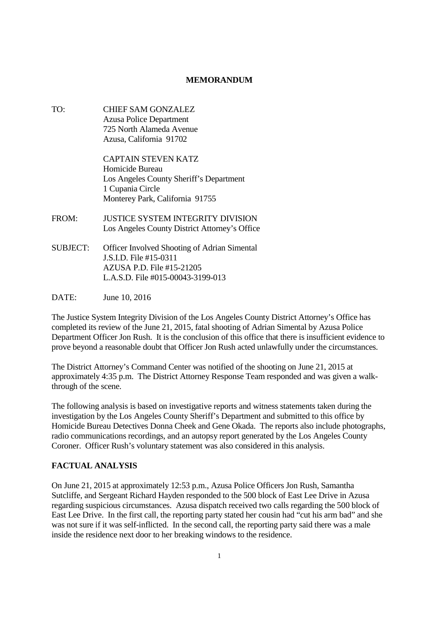# **MEMORANDUM**

TO: CHIEF SAM GONZALEZ Azusa Police Department 725 North Alameda Avenue Azusa, California 91702

> CAPTAIN STEVEN KATZ Homicide Bureau Los Angeles County Sheriff's Department 1 Cupania Circle Monterey Park, California 91755

- FROM: JUSTICE SYSTEM INTEGRITY DIVISION Los Angeles County District Attorney's Office
- SUBJECT: Officer Involved Shooting of Adrian Simental J.S.I.D. File #15-0311 AZUSA P.D. File #15-21205 L.A.S.D. File #015-00043-3199-013
- DATE: June 10, 2016

The Justice System Integrity Division of the Los Angeles County District Attorney's Office has completed its review of the June 21, 2015, fatal shooting of Adrian Simental by Azusa Police Department Officer Jon Rush. It is the conclusion of this office that there is insufficient evidence to prove beyond a reasonable doubt that Officer Jon Rush acted unlawfully under the circumstances.

The District Attorney's Command Center was notified of the shooting on June 21, 2015 at approximately 4:35 p.m. The District Attorney Response Team responded and was given a walkthrough of the scene.

The following analysis is based on investigative reports and witness statements taken during the investigation by the Los Angeles County Sheriff's Department and submitted to this office by Homicide Bureau Detectives Donna Cheek and Gene Okada. The reports also include photographs, radio communications recordings, and an autopsy report generated by the Los Angeles County Coroner. Officer Rush's voluntary statement was also considered in this analysis.

# **FACTUAL ANALYSIS**

On June 21, 2015 at approximately 12:53 p.m., Azusa Police Officers Jon Rush, Samantha Sutcliffe, and Sergeant Richard Hayden responded to the 500 block of East Lee Drive in Azusa regarding suspicious circumstances. Azusa dispatch received two calls regarding the 500 block of East Lee Drive. In the first call, the reporting party stated her cousin had "cut his arm bad" and she was not sure if it was self-inflicted. In the second call, the reporting party said there was a male inside the residence next door to her breaking windows to the residence.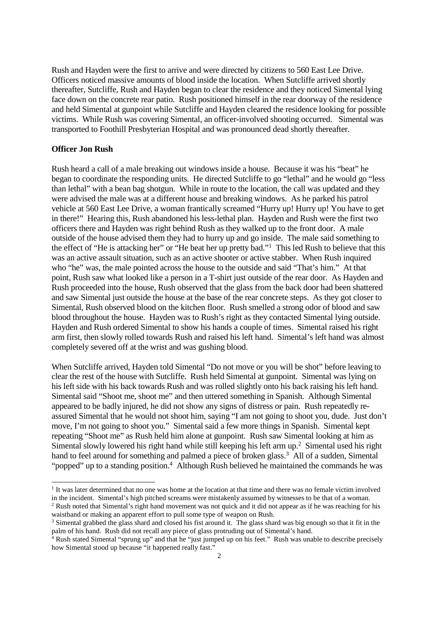Rush and Hayden were the first to arrive and were directed by citizens to 560 East Lee Drive. Officers noticed massive amounts of blood inside the location. When Sutcliffe arrived shortly thereafter, Sutcliffe, Rush and Hayden began to clear the residence and they noticed Simental lying face down on the concrete rear patio. Rush positioned himself in the rear doorway of the residence and held Simental at gunpoint while Sutcliffe and Hayden cleared the residence looking for possible victims. While Rush was covering Simental, an officer-involved shooting occurred. Simental was transported to Foothill Presbyterian Hospital and was pronounced dead shortly thereafter.

#### **Officer Jon Rush**

Rush heard a call of a male breaking out windows inside a house. Because it was his "beat" he began to coordinate the responding units. He directed Sutcliffe to go "lethal" and he would go "less than lethal" with a bean bag shotgun. While in route to the location, the call was updated and they were advised the male was at a different house and breaking windows. As he parked his patrol vehicle at 560 East Lee Drive, a woman frantically screamed "Hurry up! Hurry up! You have to get in there!" Hearing this, Rush abandoned his less-lethal plan. Hayden and Rush were the first two officers there and Hayden was right behind Rush as they walked up to the front door. A male outside of the house advised them they had to hurry up and go inside. The male said something to the effect of "He is attacking her" or "He beat her up pretty bad."<sup>1</sup> This led Rush to believe that this was an active assault situation, such as an active shooter or active stabber. When Rush inquired who "he" was, the male pointed across the house to the outside and said "That's him." At that point, Rush saw what looked like a person in a T-shirt just outside of the rear door. As Hayden and Rush proceeded into the house, Rush observed that the glass from the back door had been shattered and saw Simental just outside the house at the base of the rear concrete steps. As they got closer to Simental, Rush observed blood on the kitchen floor. Rush smelled a strong odor of blood and saw blood throughout the house. Hayden was to Rush's right as they contacted Simental lying outside. Hayden and Rush ordered Simental to show his hands a couple of times. Simental raised his right arm first, then slowly rolled towards Rush and raised his left hand. Simental's left hand was almost completely severed off at the wrist and was gushing blood.

When Sutcliffe arrived, Hayden told Simental "Do not move or you will be shot" before leaving to clear the rest of the house with Sutcliffe. Rush held Simental at gunpoint. Simental was lying on his left side with his back towards Rush and was rolled slightly onto his back raising his left hand. Simental said "Shoot me, shoot me" and then uttered something in Spanish. Although Simental appeared to be badly injured, he did not show any signs of distress or pain. Rush repeatedly reassured Simental that he would not shoot him, saying "I am not going to shoot you, dude. Just don't move, I'm not going to shoot you." Simental said a few more things in Spanish. Simental kept repeating "Shoot me" as Rush held him alone at gunpoint. Rush saw Simental looking at him as Simental slowly lowered his right hand while still keeping his left arm up.<sup>2</sup> Simental used his right hand to feel around for something and palmed a piece of broken glass.<sup>3</sup> All of a sudden, Simental "popped" up to a standing position.<sup>4</sup> Although Rush believed he maintained the commands he was

<sup>1</sup> It was later determined that no one was home at the location at that time and there was no female victim involved in the incident. Simental's high pitched screams were mistakenly assumed by witnesses to be that of a woman.

<sup>&</sup>lt;sup>2</sup> Rush noted that Simental's right hand movement was not quick and it did not appear as if he was reaching for his waistband or making an apparent effort to pull some type of weapon on Rush.

<sup>&</sup>lt;sup>3</sup> Simental grabbed the glass shard and closed his fist around it. The glass shard was big enough so that it fit in the palm of his hand. Rush did not recall any piece of glass protruding out of Simental's hand.

 $\frac{4}{4}$  Rush stated Simental "sprung up" and that he "just jumped up on his feet." Rush was unable to describe precisely how Simental stood up because "it happened really fast."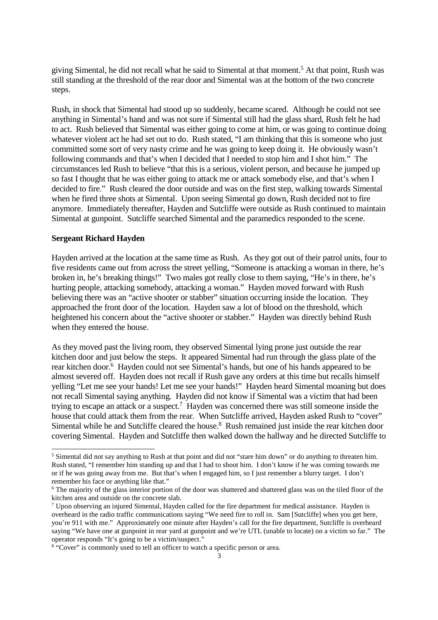giving Simental, he did not recall what he said to Simental at that moment.<sup>5</sup> At that point, Rush was still standing at the threshold of the rear door and Simental was at the bottom of the two concrete steps.

Rush, in shock that Simental had stood up so suddenly, became scared. Although he could not see anything in Simental's hand and was not sure if Simental still had the glass shard, Rush felt he had to act. Rush believed that Simental was either going to come at him, or was going to continue doing whatever violent act he had set out to do. Rush stated, "I am thinking that this is someone who just committed some sort of very nasty crime and he was going to keep doing it. He obviously wasn't following commands and that's when I decided that I needed to stop him and I shot him." The circumstances led Rush to believe "that this is a serious, violent person, and because he jumped up so fast I thought that he was either going to attack me or attack somebody else, and that's when I decided to fire." Rush cleared the door outside and was on the first step, walking towards Simental when he fired three shots at Simental. Upon seeing Simental go down, Rush decided not to fire anymore. Immediately thereafter, Hayden and Sutcliffe were outside as Rush continued to maintain Simental at gunpoint. Sutcliffe searched Simental and the paramedics responded to the scene.

#### **Sergeant Richard Hayden**

Hayden arrived at the location at the same time as Rush. As they got out of their patrol units, four to five residents came out from across the street yelling, "Someone is attacking a woman in there, he's broken in, he's breaking things!" Two males got really close to them saying, "He's in there, he's hurting people, attacking somebody, attacking a woman." Hayden moved forward with Rush believing there was an "active shooter or stabber" situation occurring inside the location. They approached the front door of the location. Hayden saw a lot of blood on the threshold, which heightened his concern about the "active shooter or stabber." Hayden was directly behind Rush when they entered the house.

As they moved past the living room, they observed Simental lying prone just outside the rear kitchen door and just below the steps. It appeared Simental had run through the glass plate of the rear kitchen door.<sup>6</sup> Hayden could not see Simental's hands, but one of his hands appeared to be almost severed off. Hayden does not recall if Rush gave any orders at this time but recalls himself yelling "Let me see your hands! Let me see your hands!" Hayden heard Simental moaning but does not recall Simental saying anything. Hayden did not know if Simental was a victim that had been trying to escape an attack or a suspect.<sup>7</sup> Hayden was concerned there was still someone inside the house that could attack them from the rear. When Sutcliffe arrived, Hayden asked Rush to "cover" Simental while he and Sutcliffe cleared the house.<sup>8</sup> Rush remained just inside the rear kitchen door covering Simental. Hayden and Sutcliffe then walked down the hallway and he directed Sutcliffe to

<sup>&</sup>lt;sup>5</sup> Simental did not say anything to Rush at that point and did not "stare him down" or do anything to threaten him. Rush stated, "I remember him standing up and that I had to shoot him. I don't know if he was coming towards me or if he was going away from me. But that's when I engaged him, so I just remember a blurry target. I don't remember his face or anything like that."

 $6$  The majority of the glass interior portion of the door was shattered and shattered glass was on the tiled floor of the kitchen area and outside on the concrete slab.

<sup>7</sup> Upon observing an injured Simental, Hayden called for the fire department for medical assistance. Hayden is overheard in the radio traffic communications saying "We need fire to roll in. Sam [Sutcliffe] when you get here, you're 911 with me." Approximately one minute after Hayden's call for the fire department, Sutcliffe is overheard saying "We have one at gunpoint in rear yard at gunpoint and we're UTL (unable to locate) on a victim so far." The operator responds "It's going to be a victim/suspect."

<sup>&</sup>lt;sup>8</sup> "Cover" is commonly used to tell an officer to watch a specific person or area.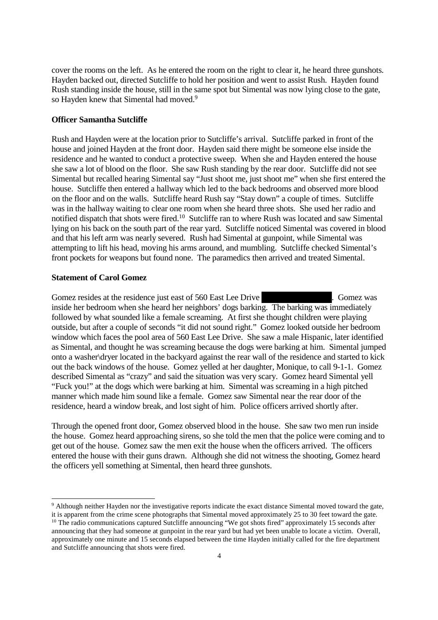cover the rooms on the left. As he entered the room on the right to clear it, he heard three gunshots. Hayden backed out, directed Sutcliffe to hold her position and went to assist Rush. Hayden found Rush standing inside the house, still in the same spot but Simental was now lying close to the gate, so Hayden knew that Simental had moved.<sup>9</sup>

#### **Officer Samantha Sutcliffe**

Rush and Hayden were at the location prior to Sutcliffe's arrival. Sutcliffe parked in front of the house and joined Hayden at the front door. Hayden said there might be someone else inside the residence and he wanted to conduct a protective sweep. When she and Hayden entered the house she saw a lot of blood on the floor. She saw Rush standing by the rear door. Sutcliffe did not see Simental but recalled hearing Simental say "Just shoot me, just shoot me" when she first entered the house. Sutcliffe then entered a hallway which led to the back bedrooms and observed more blood on the floor and on the walls. Sutcliffe heard Rush say "Stay down" a couple of times. Sutcliffe was in the hallway waiting to clear one room when she heard three shots. She used her radio and notified dispatch that shots were fired.<sup>10</sup> Sutcliffe ran to where Rush was located and saw Simental lying on his back on the south part of the rear yard. Sutcliffe noticed Simental was covered in blood and that his left arm was nearly severed. Rush had Simental at gunpoint, while Simental was attempting to lift his head, moving his arms around, and mumbling. Sutcliffe checked Simental's front pockets for weapons but found none. The paramedics then arrived and treated Simental.

## **Statement of Carol Gomez**

Gomez resides at the residence just east of 560 East Lee Drive . Gomez was inside her bedroom when she heard her neighbors' dogs barking. The barking was immediately followed by what sounded like a female screaming. At first she thought children were playing outside, but after a couple of seconds "it did not sound right." Gomez looked outside her bedroom window which faces the pool area of 560 East Lee Drive. She saw a male Hispanic, later identified as Simental, and thought he was screaming because the dogs were barking at him. Simental jumped onto a washer\dryer located in the backyard against the rear wall of the residence and started to kick out the back windows of the house. Gomez yelled at her daughter, Monique, to call 9-1-1. Gomez described Simental as "crazy" and said the situation was very scary. Gomez heard Simental yell "Fuck you!" at the dogs which were barking at him. Simental was screaming in a high pitched manner which made him sound like a female. Gomez saw Simental near the rear door of the residence, heard a window break, and lost sight of him. Police officers arrived shortly after.

Through the opened front door, Gomez observed blood in the house. She saw two men run inside the house. Gomez heard approaching sirens, so she told the men that the police were coming and to get out of the house. Gomez saw the men exit the house when the officers arrived. The officers entered the house with their guns drawn. Although she did not witness the shooting, Gomez heard the officers yell something at Simental, then heard three gunshots.

<sup>9</sup> Although neither Hayden nor the investigative reports indicate the exact distance Simental moved toward the gate, it is apparent from the crime scene photographs that Simental moved approximately 25 to 30 feet toward the gate.

<sup>&</sup>lt;sup>10</sup> The radio communications captured Sutcliffe announcing "We got shots fired" approximately 15 seconds after announcing that they had someone at gunpoint in the rear yard but had yet been unable to locate a victim. Overall, approximately one minute and 15 seconds elapsed between the time Hayden initially called for the fire department and Sutcliffe announcing that shots were fired.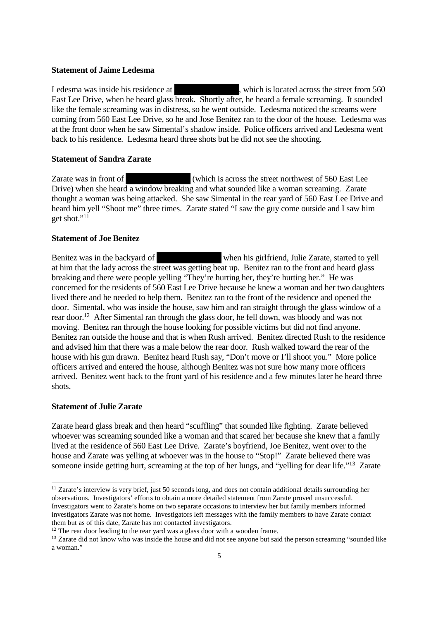#### **Statement of Jaime Ledesma**

Ledesma was inside his residence at , which is located across the street from 560 East Lee Drive, when he heard glass break. Shortly after, he heard a female screaming. It sounded like the female screaming was in distress, so he went outside. Ledesma noticed the screams were coming from 560 East Lee Drive, so he and Jose Benitez ran to the door of the house. Ledesma was at the front door when he saw Simental's shadow inside. Police officers arrived and Ledesma went back to his residence. Ledesma heard three shots but he did not see the shooting.

#### **Statement of Sandra Zarate**

Zarate was in front of (which is across the street northwest of 560 East Lee Drive) when she heard a window breaking and what sounded like a woman screaming. Zarate thought a woman was being attacked. She saw Simental in the rear yard of 560 East Lee Drive and heard him yell "Shoot me" three times. Zarate stated "I saw the guy come outside and I saw him get shot."<sup>11</sup>

#### **Statement of Joe Benitez**

Benitez was in the backyard of when his girlfriend, Julie Zarate, started to yell at him that the lady across the street was getting beat up. Benitez ran to the front and heard glass breaking and there were people yelling "They're hurting her, they're hurting her." He was concerned for the residents of 560 East Lee Drive because he knew a woman and her two daughters lived there and he needed to help them. Benitez ran to the front of the residence and opened the door. Simental, who was inside the house, saw him and ran straight through the glass window of a rear door.<sup>12</sup> After Simental ran through the glass door, he fell down, was bloody and was not moving. Benitez ran through the house looking for possible victims but did not find anyone. Benitez ran outside the house and that is when Rush arrived. Benitez directed Rush to the residence and advised him that there was a male below the rear door. Rush walked toward the rear of the house with his gun drawn. Benitez heard Rush say, "Don't move or I'll shoot you." More police officers arrived and entered the house, although Benitez was not sure how many more officers arrived. Benitez went back to the front yard of his residence and a few minutes later he heard three shots.

#### **Statement of Julie Zarate**

Zarate heard glass break and then heard "scuffling" that sounded like fighting. Zarate believed whoever was screaming sounded like a woman and that scared her because she knew that a family lived at the residence of 560 East Lee Drive. Zarate's boyfriend, Joe Benitez, went over to the house and Zarate was yelling at whoever was in the house to "Stop!" Zarate believed there was someone inside getting hurt, screaming at the top of her lungs, and "yelling for dear life."<sup>13</sup> Zarate

<sup>&</sup>lt;sup>11</sup> Zarate's interview is very brief, just 50 seconds long, and does not contain additional details surrounding her observations. Investigators' efforts to obtain a more detailed statement from Zarate proved unsuccessful. Investigators went to Zarate's home on two separate occasions to interview her but family members informed investigators Zarate was not home. Investigators left messages with the family members to have Zarate contact them but as of this date, Zarate has not contacted investigators.

 $12$  The rear door leading to the rear yard was a glass door with a wooden frame.

<sup>&</sup>lt;sup>13</sup> Zarate did not know who was inside the house and did not see anyone but said the person screaming "sounded like a woman."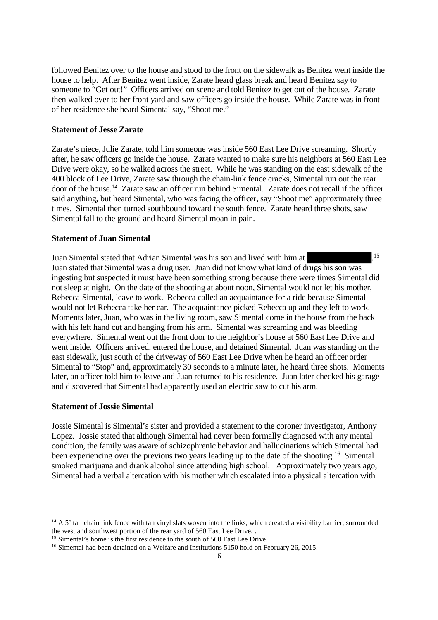followed Benitez over to the house and stood to the front on the sidewalk as Benitez went inside the house to help. After Benitez went inside, Zarate heard glass break and heard Benitez say to someone to "Get out!" Officers arrived on scene and told Benitez to get out of the house. Zarate then walked over to her front yard and saw officers go inside the house. While Zarate was in front of her residence she heard Simental say, "Shoot me."

#### **Statement of Jesse Zarate**

Zarate's niece, Julie Zarate, told him someone was inside 560 East Lee Drive screaming. Shortly after, he saw officers go inside the house. Zarate wanted to make sure his neighbors at 560 East Lee Drive were okay, so he walked across the street. While he was standing on the east sidewalk of the 400 block of Lee Drive, Zarate saw through the chain-link fence cracks, Simental run out the rear door of the house.<sup>14</sup> Zarate saw an officer run behind Simental. Zarate does not recall if the officer said anything, but heard Simental, who was facing the officer, say "Shoot me" approximately three times. Simental then turned southbound toward the south fence. Zarate heard three shots, saw Simental fall to the ground and heard Simental moan in pain.

# **Statement of Juan Simental**

Juan Simental stated that Adrian Simental was his son and lived with him at .<sup>15</sup> Juan stated that Simental was a drug user. Juan did not know what kind of drugs his son was ingesting but suspected it must have been something strong because there were times Simental did not sleep at night. On the date of the shooting at about noon, Simental would not let his mother, Rebecca Simental, leave to work. Rebecca called an acquaintance for a ride because Simental would not let Rebecca take her car. The acquaintance picked Rebecca up and they left to work. Moments later, Juan, who was in the living room, saw Simental come in the house from the back with his left hand cut and hanging from his arm. Simental was screaming and was bleeding everywhere. Simental went out the front door to the neighbor's house at 560 East Lee Drive and went inside. Officers arrived, entered the house, and detained Simental. Juan was standing on the east sidewalk, just south of the driveway of 560 East Lee Drive when he heard an officer order Simental to "Stop" and, approximately 30 seconds to a minute later, he heard three shots. Moments later, an officer told him to leave and Juan returned to his residence. Juan later checked his garage and discovered that Simental had apparently used an electric saw to cut his arm.

#### **Statement of Jossie Simental**

Jossie Simental is Simental's sister and provided a statement to the coroner investigator, Anthony Lopez. Jossie stated that although Simental had never been formally diagnosed with any mental condition, the family was aware of schizophrenic behavior and hallucinations which Simental had been experiencing over the previous two years leading up to the date of the shooting.<sup>16</sup> Simental smoked marijuana and drank alcohol since attending high school. Approximately two years ago, Simental had a verbal altercation with his mother which escalated into a physical altercation with

 $14 A 5'$  tall chain link fence with tan vinyl slats woven into the links, which created a visibility barrier, surrounded the west and southwest portion of the rear yard of 560 East Lee Drive. .

<sup>&</sup>lt;sup>15</sup> Simental's home is the first residence to the south of 560 East Lee Drive.

<sup>&</sup>lt;sup>16</sup> Simental had been detained on a Welfare and Institutions 5150 hold on February 26, 2015.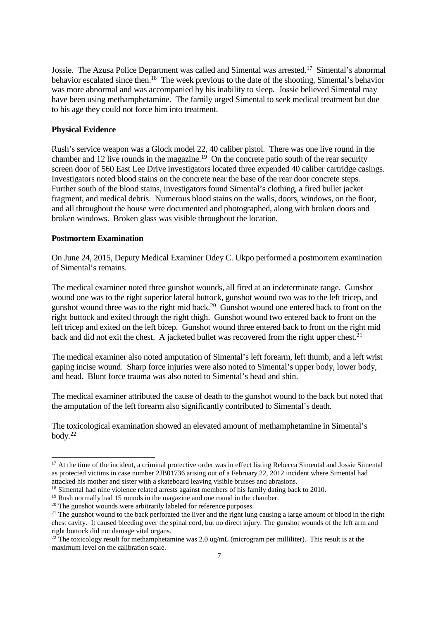Jossie. The Azusa Police Department was called and Simental was arrested.<sup>17</sup> Simental's abnormal behavior escalated since then.<sup>18</sup> The week previous to the date of the shooting, Simental's behavior was more abnormal and was accompanied by his inability to sleep. Jossie believed Simental may have been using methamphetamine. The family urged Simental to seek medical treatment but due to his age they could not force him into treatment.

#### **Physical Evidence**

Rush's service weapon was a Glock model 22, 40 caliber pistol. There was one live round in the chamber and 12 live rounds in the magazine.<sup>19</sup> On the concrete patio south of the rear security screen door of 560 East Lee Drive investigators located three expended 40 caliber cartridge casings. Investigators noted blood stains on the concrete near the base of the rear door concrete steps. Further south of the blood stains, investigators found Simental's clothing, a fired bullet jacket fragment, and medical debris. Numerous blood stains on the walls, doors, windows, on the floor, and all throughout the house were documented and photographed, along with broken doors and broken windows. Broken glass was visible throughout the location.

#### **Postmortem Examination**

On June 24, 2015, Deputy Medical Examiner Odey C. Ukpo performed a postmortem examination of Simental's remains.

The medical examiner noted three gunshot wounds, all fired at an indeterminate range. Gunshot wound one was to the right superior lateral buttock, gunshot wound two was to the left tricep, and gunshot wound three was to the right mid back.<sup>20</sup> Gunshot wound one entered back to front on the right buttock and exited through the right thigh. Gunshot wound two entered back to front on the left tricep and exited on the left bicep. Gunshot wound three entered back to front on the right mid back and did not exit the chest. A jacketed bullet was recovered from the right upper chest.<sup>21</sup>

The medical examiner also noted amputation of Simental's left forearm, left thumb, and a left wrist gaping incise wound. Sharp force injuries were also noted to Simental's upper body, lower body, and head. Blunt force trauma was also noted to Simental's head and shin.

The medical examiner attributed the cause of death to the gunshot wound to the back but noted that the amputation of the left forearm also significantly contributed to Simental's death.

The toxicological examination showed an elevated amount of methamphetamine in Simental's body.<sup>22</sup>

<sup>&</sup>lt;sup>17</sup> At the time of the incident, a criminal protective order was in effect listing Rebecca Simental and Jossie Simental as protected victims in case number 2JB01736 arising out of a February 22, 2012 incident where Simental had attacked his mother and sister with a skateboard leaving visible bruises and abrasions.

<sup>&</sup>lt;sup>18</sup> Simental had nine violence related arrests against members of his family dating back to 2010.

 $19$  Rush normally had 15 rounds in the magazine and one round in the chamber.

<sup>&</sup>lt;sup>20</sup> The gunshot wounds were arbitrarily labeled for reference purposes.

 $21$  The gunshot wound to the back perforated the liver and the right lung causing a large amount of blood in the right chest cavity. It caused bleeding over the spinal cord, but no direct injury. The gunshot wounds of the left arm and right buttock did not damage vital organs.

<sup>&</sup>lt;sup>22</sup> The toxicology result for methamphetamine was 2.0 ug/mL (microgram per milliliter). This result is at the maximum level on the calibration scale.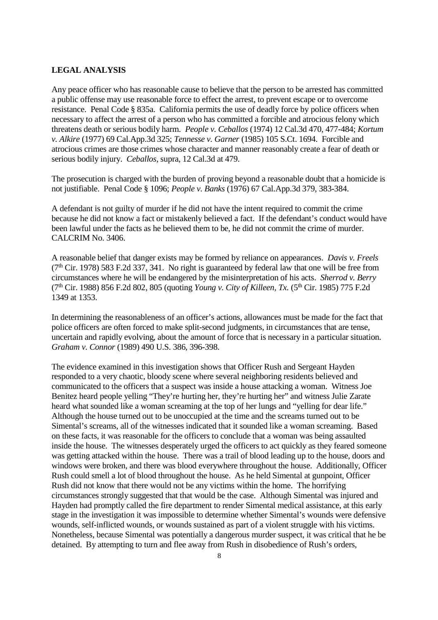#### **LEGAL ANALYSIS**

Any peace officer who has reasonable cause to believe that the person to be arrested has committed a public offense may use reasonable force to effect the arrest, to prevent escape or to overcome resistance. Penal Code § 835a. California permits the use of deadly force by police officers when necessary to affect the arrest of a person who has committed a forcible and atrocious felony which threatens death or serious bodily harm. *People v. Ceballos* (1974) 12 Cal.3d 470, 477-484; *Kortum v. Alkire* (1977) 69 Cal.App.3d 325; *Tennesse v. Garner* (1985) 105 S.Ct. 1694. Forcible and atrocious crimes are those crimes whose character and manner reasonably create a fear of death or serious bodily injury. *Ceballos*, supra, 12 Cal.3d at 479.

The prosecution is charged with the burden of proving beyond a reasonable doubt that a homicide is not justifiable. Penal Code § 1096; *People v. Banks* (1976) 67 Cal.App.3d 379, 383-384.

A defendant is not guilty of murder if he did not have the intent required to commit the crime because he did not know a fact or mistakenly believed a fact. If the defendant's conduct would have been lawful under the facts as he believed them to be, he did not commit the crime of murder. CALCRIM No. 3406.

A reasonable belief that danger exists may be formed by reliance on appearances. *Davis v. Freels*  $(7<sup>th</sup> Cir. 1978)$  583 F.2d 337, 341. No right is guaranteed by federal law that one will be free from circumstances where he will be endangered by the misinterpretation of his acts. *Sherrod v. Berry* (7th Cir. 1988) 856 F.2d 802, 805 (quoting *Young v. City of Killeen, Tx.* (5th Cir. 1985) 775 F.2d 1349 at 1353.

In determining the reasonableness of an officer's actions, allowances must be made for the fact that police officers are often forced to make split-second judgments, in circumstances that are tense, uncertain and rapidly evolving, about the amount of force that is necessary in a particular situation. *Graham v. Connor* (1989) 490 U.S. 386, 396-398.

The evidence examined in this investigation shows that Officer Rush and Sergeant Hayden responded to a very chaotic, bloody scene where several neighboring residents believed and communicated to the officers that a suspect was inside a house attacking a woman. Witness Joe Benitez heard people yelling "They're hurting her, they're hurting her" and witness Julie Zarate heard what sounded like a woman screaming at the top of her lungs and "yelling for dear life." Although the house turned out to be unoccupied at the time and the screams turned out to be Simental's screams, all of the witnesses indicated that it sounded like a woman screaming. Based on these facts, it was reasonable for the officers to conclude that a woman was being assaulted inside the house. The witnesses desperately urged the officers to act quickly as they feared someone was getting attacked within the house. There was a trail of blood leading up to the house, doors and windows were broken, and there was blood everywhere throughout the house. Additionally, Officer Rush could smell a lot of blood throughout the house. As he held Simental at gunpoint, Officer Rush did not know that there would not be any victims within the home. The horrifying circumstances strongly suggested that that would be the case. Although Simental was injured and Hayden had promptly called the fire department to render Simental medical assistance, at this early stage in the investigation it was impossible to determine whether Simental's wounds were defensive wounds, self-inflicted wounds, or wounds sustained as part of a violent struggle with his victims. Nonetheless, because Simental was potentially a dangerous murder suspect, it was critical that he be detained. By attempting to turn and flee away from Rush in disobedience of Rush's orders,